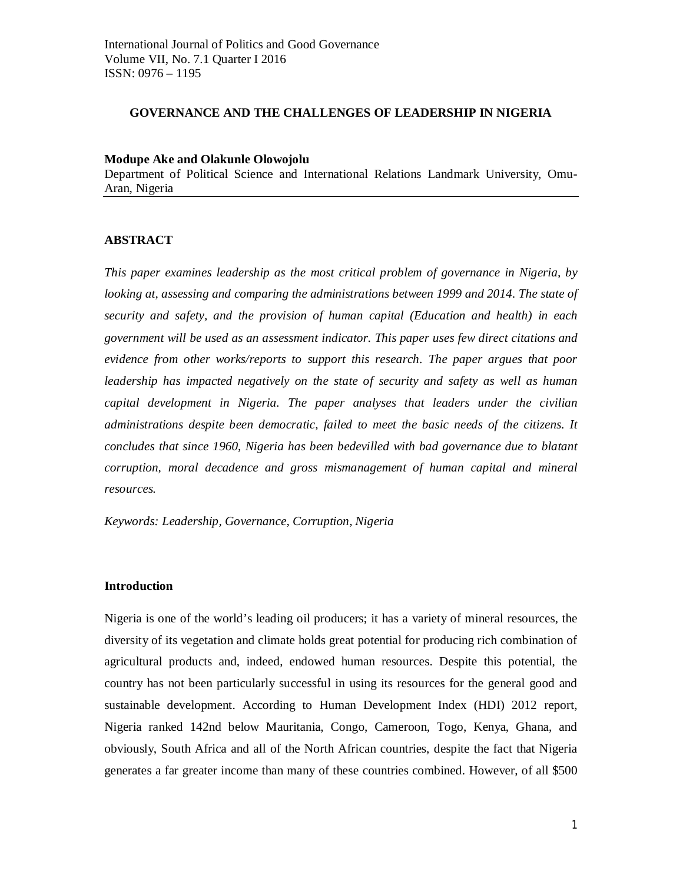## **GOVERNANCE AND THE CHALLENGES OF LEADERSHIP IN NIGERIA**

## **Modupe Ake and Olakunle Olowojolu**

Department of Political Science and International Relations Landmark University, Omu-Aran, Nigeria

## **ABSTRACT**

*This paper examines leadership as the most critical problem of governance in Nigeria, by looking at, assessing and comparing the administrations between 1999 and 2014. The state of security and safety, and the provision of human capital (Education and health) in each government will be used as an assessment indicator. This paper uses few direct citations and evidence from other works/reports to support this research. The paper argues that poor leadership has impacted negatively on the state of security and safety as well as human capital development in Nigeria. The paper analyses that leaders under the civilian administrations despite been democratic, failed to meet the basic needs of the citizens. It concludes that since 1960, Nigeria has been bedevilled with bad governance due to blatant corruption, moral decadence and gross mismanagement of human capital and mineral resources.*

*Keywords: Leadership, Governance, Corruption, Nigeria*

## **Introduction**

Nigeria is one of the world's leading oil producers; it has a variety of mineral resources, the diversity of its vegetation and climate holds great potential for producing rich combination of agricultural products and, indeed, endowed human resources. Despite this potential, the country has not been particularly successful in using its resources for the general good and sustainable development. According to Human Development Index (HDI) 2012 report, Nigeria ranked 142nd below Mauritania, Congo, Cameroon, Togo, Kenya, Ghana, and obviously, South Africa and all of the North African countries, despite the fact that Nigeria generates a far greater income than many of these countries combined. However, of all \$500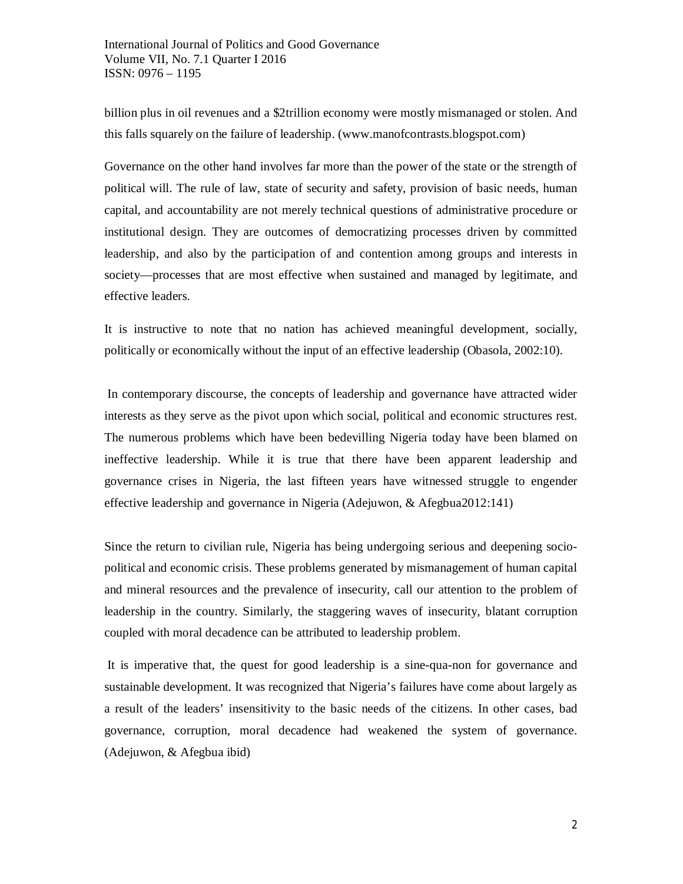billion plus in oil revenues and a \$2trillion economy were mostly mismanaged or stolen. And this falls squarely on the failure of leadership. (www.manofcontrasts.blogspot.com)

Governance on the other hand involves far more than the power of the state or the strength of political will. The rule of law, state of security and safety, provision of basic needs, human capital, and accountability are not merely technical questions of administrative procedure or institutional design. They are outcomes of democratizing processes driven by committed leadership, and also by the participation of and contention among groups and interests in society—processes that are most effective when sustained and managed by legitimate, and effective leaders.

It is instructive to note that no nation has achieved meaningful development, socially, politically or economically without the input of an effective leadership (Obasola, 2002:10).

In contemporary discourse, the concepts of leadership and governance have attracted wider interests as they serve as the pivot upon which social, political and economic structures rest. The numerous problems which have been bedevilling Nigeria today have been blamed on ineffective leadership. While it is true that there have been apparent leadership and governance crises in Nigeria, the last fifteen years have witnessed struggle to engender effective leadership and governance in Nigeria (Adejuwon, & Afegbua2012:141)

Since the return to civilian rule, Nigeria has being undergoing serious and deepening sociopolitical and economic crisis. These problems generated by mismanagement of human capital and mineral resources and the prevalence of insecurity, call our attention to the problem of leadership in the country. Similarly, the staggering waves of insecurity, blatant corruption coupled with moral decadence can be attributed to leadership problem.

It is imperative that, the quest for good leadership is a sine-qua-non for governance and sustainable development. It was recognized that Nigeria's failures have come about largely as a result of the leaders' insensitivity to the basic needs of the citizens. In other cases, bad governance, corruption, moral decadence had weakened the system of governance. (Adejuwon, & Afegbua ibid)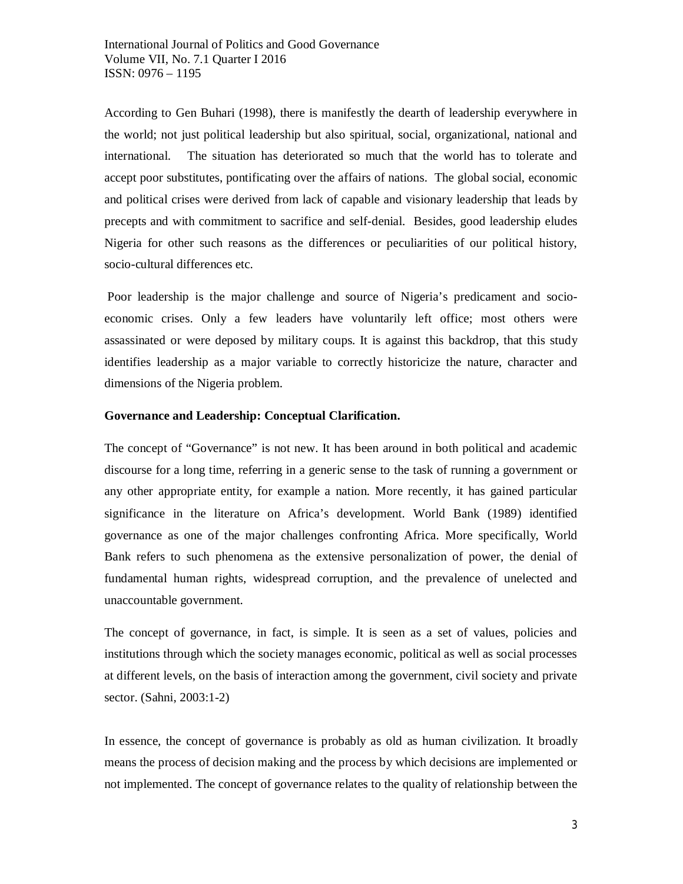According to Gen Buhari (1998), there is manifestly the dearth of leadership everywhere in the world; not just political leadership but also spiritual, social, organizational, national and international. The situation has deteriorated so much that the world has to tolerate and accept poor substitutes, pontificating over the affairs of nations. The global social, economic and political crises were derived from lack of capable and visionary leadership that leads by precepts and with commitment to sacrifice and self-denial. Besides, good leadership eludes Nigeria for other such reasons as the differences or peculiarities of our political history, socio-cultural differences etc.

Poor leadership is the major challenge and source of Nigeria's predicament and socioeconomic crises. Only a few leaders have voluntarily left office; most others were assassinated or were deposed by military coups. It is against this backdrop, that this study identifies leadership as a major variable to correctly historicize the nature, character and dimensions of the Nigeria problem.

### **Governance and Leadership: Conceptual Clarification.**

The concept of "Governance" is not new. It has been around in both political and academic discourse for a long time, referring in a generic sense to the task of running a government or any other appropriate entity, for example a nation. More recently, it has gained particular significance in the literature on Africa's development. World Bank (1989) identified governance as one of the major challenges confronting Africa. More specifically, World Bank refers to such phenomena as the extensive personalization of power, the denial of fundamental human rights, widespread corruption, and the prevalence of unelected and unaccountable government.

The concept of governance, in fact, is simple. It is seen as a set of values, policies and institutions through which the society manages economic, political as well as social processes at different levels, on the basis of interaction among the government, civil society and private sector. (Sahni, 2003:1-2)

In essence, the concept of governance is probably as old as human civilization. It broadly means the process of decision making and the process by which decisions are implemented or not implemented. The concept of governance relates to the quality of relationship between the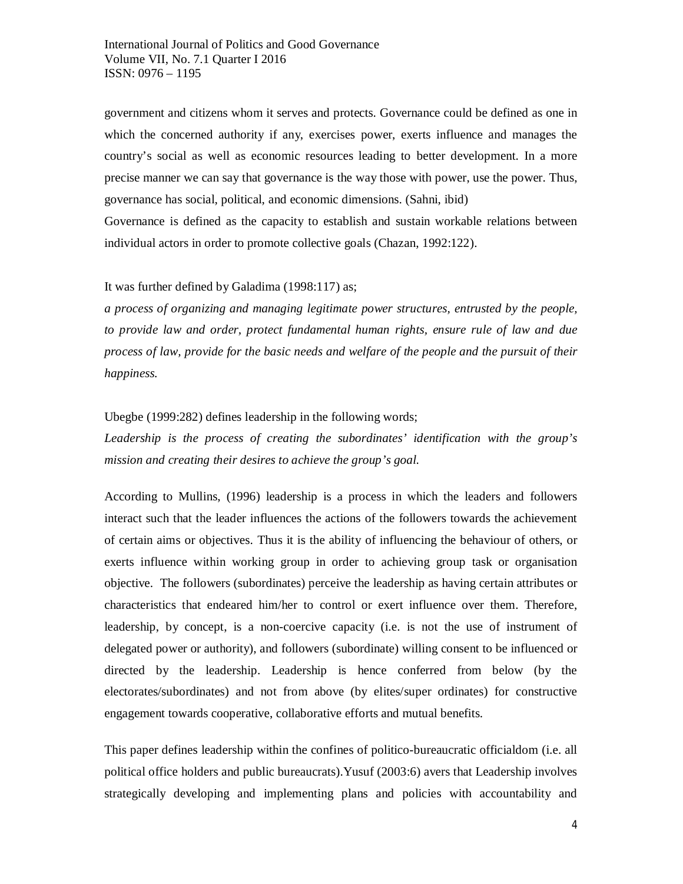government and citizens whom it serves and protects. Governance could be defined as one in which the concerned authority if any, exercises power, exerts influence and manages the country's social as well as economic resources leading to better development. In a more precise manner we can say that governance is the way those with power, use the power. Thus, governance has social, political, and economic dimensions. (Sahni, ibid)

Governance is defined as the capacity to establish and sustain workable relations between individual actors in order to promote collective goals (Chazan, 1992:122).

### It was further defined by Galadima (1998:117) as;

*a process of organizing and managing legitimate power structures, entrusted by the people, to provide law and order, protect fundamental human rights, ensure rule of law and due process of law, provide for the basic needs and welfare of the people and the pursuit of their happiness.*

## Ubegbe (1999:282) defines leadership in the following words;

*Leadership is the process of creating the subordinates' identification with the group's mission and creating their desires to achieve the group's goal.*

According to Mullins, (1996) leadership is a process in which the leaders and followers interact such that the leader influences the actions of the followers towards the achievement of certain aims or objectives. Thus it is the ability of influencing the behaviour of others, or exerts influence within working group in order to achieving group task or organisation objective. The followers (subordinates) perceive the leadership as having certain attributes or characteristics that endeared him/her to control or exert influence over them. Therefore, leadership, by concept, is a non-coercive capacity (i.e. is not the use of instrument of delegated power or authority), and followers (subordinate) willing consent to be influenced or directed by the leadership. Leadership is hence conferred from below (by the electorates/subordinates) and not from above (by elites/super ordinates) for constructive engagement towards cooperative, collaborative efforts and mutual benefits.

This paper defines leadership within the confines of politico-bureaucratic officialdom (i.e. all political office holders and public bureaucrats).Yusuf (2003:6) avers that Leadership involves strategically developing and implementing plans and policies with accountability and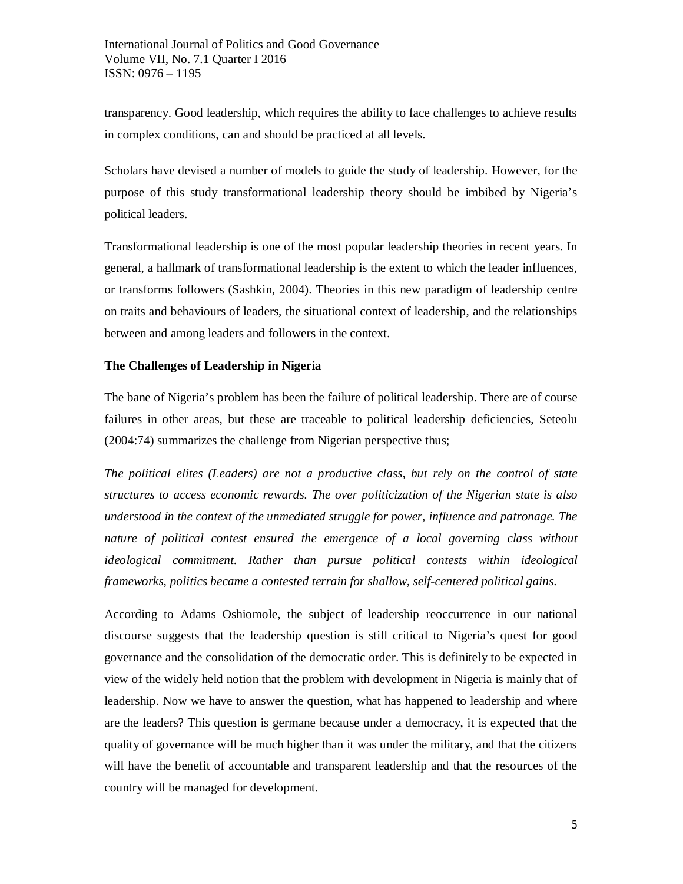transparency. Good leadership, which requires the ability to face challenges to achieve results in complex conditions, can and should be practiced at all levels.

Scholars have devised a number of models to guide the study of leadership. However, for the purpose of this study transformational leadership theory should be imbibed by Nigeria's political leaders.

Transformational leadership is one of the most popular leadership theories in recent years. In general, a hallmark of transformational leadership is the extent to which the leader influences, or transforms followers (Sashkin, 2004). Theories in this new paradigm of leadership centre on traits and behaviours of leaders, the situational context of leadership, and the relationships between and among leaders and followers in the context.

## **The Challenges of Leadership in Nigeria**

The bane of Nigeria's problem has been the failure of political leadership. There are of course failures in other areas, but these are traceable to political leadership deficiencies, Seteolu (2004:74) summarizes the challenge from Nigerian perspective thus;

*The political elites (Leaders) are not a productive class, but rely on the control of state structures to access economic rewards. The over politicization of the Nigerian state is also understood in the context of the unmediated struggle for power, influence and patronage. The nature of political contest ensured the emergence of a local governing class without ideological commitment. Rather than pursue political contests within ideological frameworks, politics became a contested terrain for shallow, self-centered political gains*.

According to Adams Oshiomole, the subject of leadership reoccurrence in our national discourse suggests that the leadership question is still critical to Nigeria's quest for good governance and the consolidation of the democratic order. This is definitely to be expected in view of the widely held notion that the problem with development in Nigeria is mainly that of leadership. Now we have to answer the question, what has happened to leadership and where are the leaders? This question is germane because under a democracy, it is expected that the quality of governance will be much higher than it was under the military, and that the citizens will have the benefit of accountable and transparent leadership and that the resources of the country will be managed for development.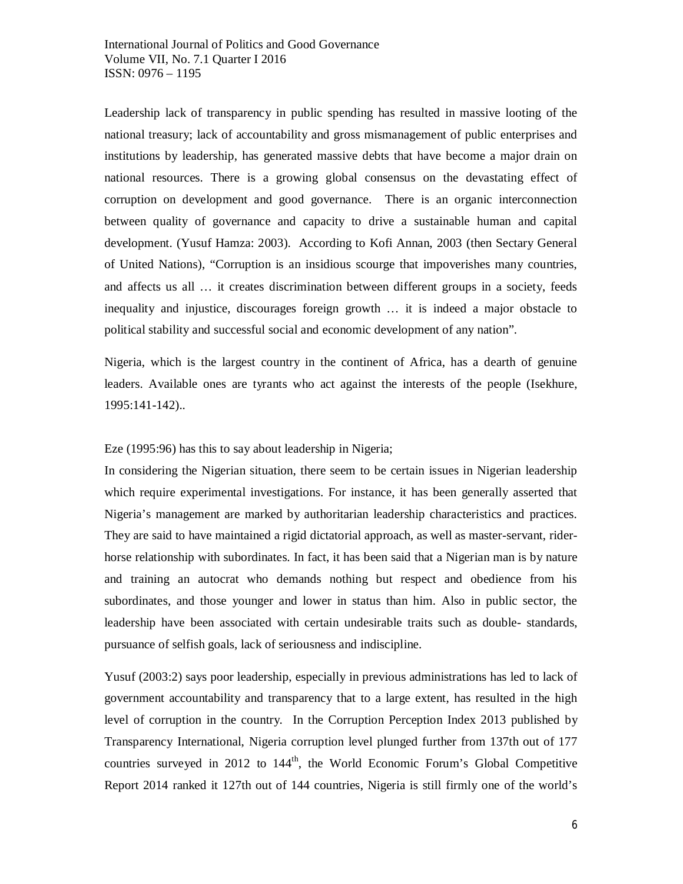Leadership lack of transparency in public spending has resulted in massive looting of the national treasury; lack of accountability and gross mismanagement of public enterprises and institutions by leadership, has generated massive debts that have become a major drain on national resources. There is a growing global consensus on the devastating effect of corruption on development and good governance. There is an organic interconnection between quality of governance and capacity to drive a sustainable human and capital development. (Yusuf Hamza: 2003). According to Kofi Annan, 2003 (then Sectary General of United Nations), "Corruption is an insidious scourge that impoverishes many countries, and affects us all … it creates discrimination between different groups in a society, feeds inequality and injustice, discourages foreign growth … it is indeed a major obstacle to political stability and successful social and economic development of any nation".

Nigeria, which is the largest country in the continent of Africa, has a dearth of genuine leaders. Available ones are tyrants who act against the interests of the people (Isekhure, 1995:141-142)..

Eze (1995:96) has this to say about leadership in Nigeria;

In considering the Nigerian situation, there seem to be certain issues in Nigerian leadership which require experimental investigations. For instance, it has been generally asserted that Nigeria's management are marked by authoritarian leadership characteristics and practices. They are said to have maintained a rigid dictatorial approach, as well as master-servant, riderhorse relationship with subordinates. In fact, it has been said that a Nigerian man is by nature and training an autocrat who demands nothing but respect and obedience from his subordinates, and those younger and lower in status than him. Also in public sector, the leadership have been associated with certain undesirable traits such as double- standards, pursuance of selfish goals, lack of seriousness and indiscipline.

Yusuf (2003:2) says poor leadership, especially in previous administrations has led to lack of government accountability and transparency that to a large extent, has resulted in the high level of corruption in the country. In the Corruption Perception Index 2013 published by Transparency International, Nigeria corruption level plunged further from 137th out of 177 countries surveyed in 2012 to 144<sup>th</sup>, the World Economic Forum's Global Competitive Report 2014 ranked it 127th out of 144 countries, Nigeria is still firmly one of the world's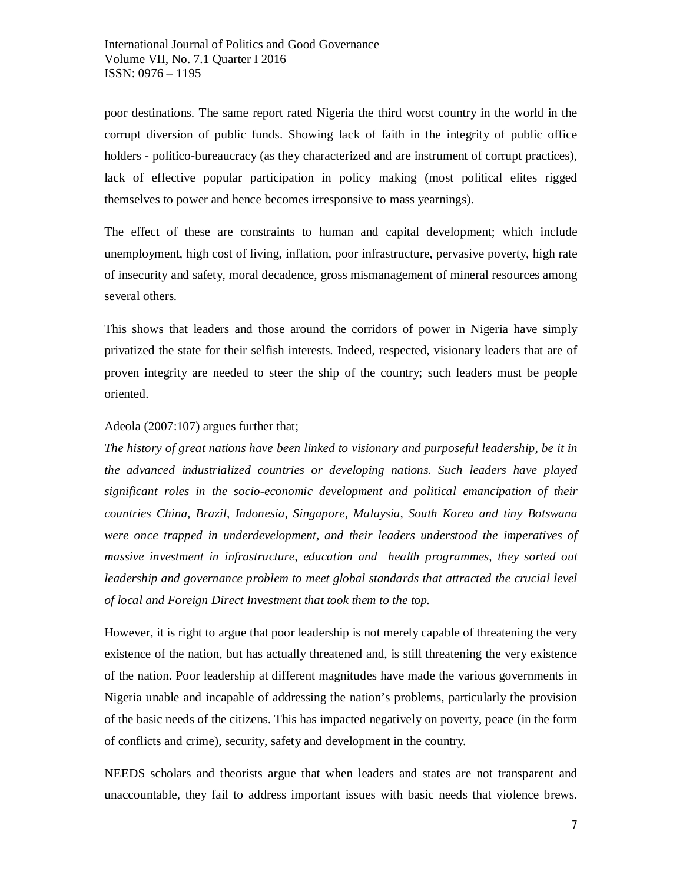poor destinations. The same report rated Nigeria the third worst country in the world in the corrupt diversion of public funds. Showing lack of faith in the integrity of public office holders - politico-bureaucracy (as they characterized and are instrument of corrupt practices), lack of effective popular participation in policy making (most political elites rigged themselves to power and hence becomes irresponsive to mass yearnings).

The effect of these are constraints to human and capital development; which include unemployment, high cost of living, inflation, poor infrastructure, pervasive poverty, high rate of insecurity and safety, moral decadence, gross mismanagement of mineral resources among several others.

This shows that leaders and those around the corridors of power in Nigeria have simply privatized the state for their selfish interests. Indeed, respected, visionary leaders that are of proven integrity are needed to steer the ship of the country; such leaders must be people oriented.

## Adeola (2007:107) argues further that;

*The history of great nations have been linked to visionary and purposeful leadership, be it in the advanced industrialized countries or developing nations. Such leaders have played significant roles in the socio-economic development and political emancipation of their countries China, Brazil, Indonesia, Singapore, Malaysia, South Korea and tiny Botswana were once trapped in underdevelopment, and their leaders understood the imperatives of massive investment in infrastructure, education and health programmes, they sorted out leadership and governance problem to meet global standards that attracted the crucial level of local and Foreign Direct Investment that took them to the top.*

However, it is right to argue that poor leadership is not merely capable of threatening the very existence of the nation, but has actually threatened and, is still threatening the very existence of the nation. Poor leadership at different magnitudes have made the various governments in Nigeria unable and incapable of addressing the nation's problems, particularly the provision of the basic needs of the citizens. This has impacted negatively on poverty, peace (in the form of conflicts and crime), security, safety and development in the country.

NEEDS scholars and theorists argue that when leaders and states are not transparent and unaccountable, they fail to address important issues with basic needs that violence brews.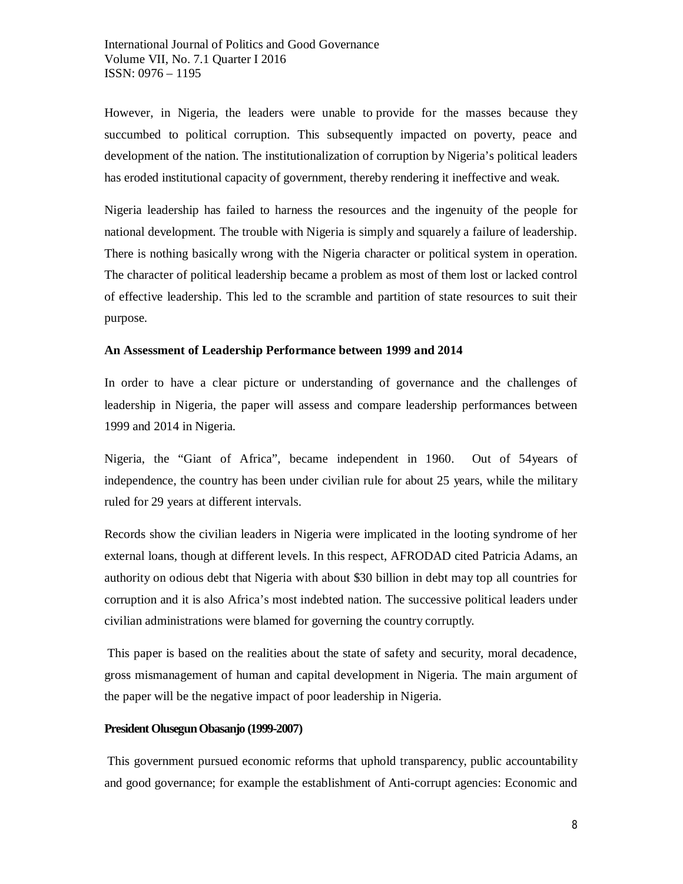However, in Nigeria, the leaders were unable to provide for the masses because they succumbed to political corruption. This subsequently impacted on poverty, peace and development of the nation. The institutionalization of corruption by Nigeria's political leaders has eroded institutional capacity of government, thereby rendering it ineffective and weak.

Nigeria leadership has failed to harness the resources and the ingenuity of the people for national development*.* The trouble with Nigeria is simply and squarely a failure of leadership. There is nothing basically wrong with the Nigeria character or political system in operation. The character of political leadership became a problem as most of them lost or lacked control of effective leadership. This led to the scramble and partition of state resources to suit their purpose.

#### **An Assessment of Leadership Performance between 1999 and 2014**

In order to have a clear picture or understanding of governance and the challenges of leadership in Nigeria, the paper will assess and compare leadership performances between 1999 and 2014 in Nigeria.

Nigeria, the "Giant of Africa", became independent in 1960. Out of 54years of independence, the country has been under civilian rule for about 25 years, while the military ruled for 29 years at different intervals.

Records show the civilian leaders in Nigeria were implicated in the looting syndrome of her external loans, though at different levels. In this respect, AFRODAD cited Patricia Adams, an authority on odious debt that Nigeria with about \$30 billion in debt may top all countries for corruption and it is also Africa's most indebted nation. The successive political leaders under civilian administrations were blamed for governing the country corruptly.

This paper is based on the realities about the state of safety and security, moral decadence, gross mismanagement of human and capital development in Nigeria. The main argument of the paper will be the negative impact of poor leadership in Nigeria.

#### **President Olusegun Obasanjo (1999-2007)**

This government pursued economic reforms that uphold transparency, public accountability and good governance; for example the establishment of Anti-corrupt agencies: Economic and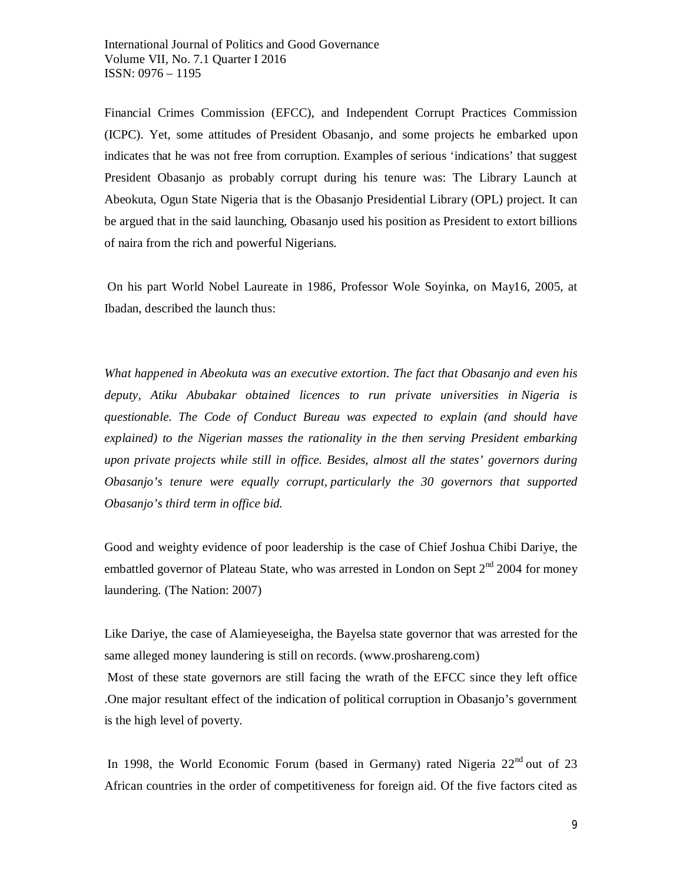Financial Crimes Commission (EFCC), and Independent Corrupt Practices Commission (ICPC). Yet, some attitudes of President Obasanjo, and some projects he embarked upon indicates that he was not free from corruption. Examples of serious 'indications' that suggest President Obasanjo as probably corrupt during his tenure was: The Library Launch at Abeokuta, Ogun State Nigeria that is the Obasanjo Presidential Library (OPL) project. It can be argued that in the said launching, Obasanjo used his position as President to extort billions of naira from the rich and powerful Nigerians.

On his part World Nobel Laureate in 1986, Professor Wole Soyinka, on May16, 2005, at Ibadan, described the launch thus:

*What happened in Abeokuta was an executive extortion. The fact that Obasanjo and even his deputy, Atiku Abubakar obtained licences to run private universities in Nigeria is questionable. The Code of Conduct Bureau was expected to explain (and should have explained) to the Nigerian masses the rationality in the then serving President embarking upon private projects while still in office. Besides, almost all the states' governors during Obasanjo's tenure were equally corrupt, particularly the 30 governors that supported Obasanjo's third term in office bid.*

Good and weighty evidence of poor leadership is the case of Chief Joshua Chibi Dariye, the embattled governor of Plateau State, who was arrested in London on Sept  $2^{nd}$  2004 for money laundering. (The Nation: 2007)

Like Dariye, the case of Alamieyeseigha, the Bayelsa state governor that was arrested for the same alleged money laundering is still on records. (www.proshareng.com)

Most of these state governors are still facing the wrath of the EFCC since they left office .One major resultant effect of the indication of political corruption in Obasanjo's government is the high level of poverty.

In 1998, the World Economic Forum (based in Germany) rated Nigeria  $22<sup>nd</sup>$  out of 23 African countries in the order of competitiveness for foreign aid. Of the five factors cited as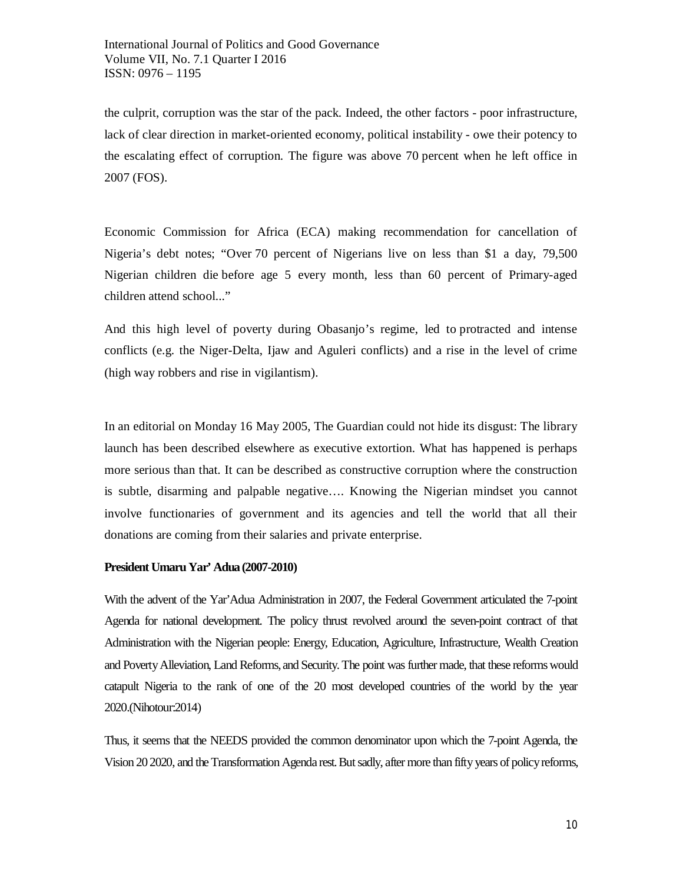the culprit, corruption was the star of the pack. Indeed, the other factors - poor infrastructure, lack of clear direction in market-oriented economy, political instability - owe their potency to the escalating effect of corruption. The figure was above 70 percent when he left office in 2007 (FOS).

Economic Commission for Africa (ECA) making recommendation for cancellation of Nigeria's debt notes; "Over 70 percent of Nigerians live on less than \$1 a day, 79,500 Nigerian children die before age 5 every month, less than 60 percent of Primary-aged children attend school..."

And this high level of poverty during Obasanjo's regime, led to protracted and intense conflicts (e.g. the Niger-Delta, Ijaw and Aguleri conflicts) and a rise in the level of crime (high way robbers and rise in vigilantism).

In an editorial on Monday 16 May 2005, The Guardian could not hide its disgust: The library launch has been described elsewhere as executive extortion. What has happened is perhaps more serious than that. It can be described as constructive corruption where the construction is subtle, disarming and palpable negative…. Knowing the Nigerian mindset you cannot involve functionaries of government and its agencies and tell the world that all their donations are coming from their salaries and private enterprise.

## **President Umaru Yar' Adua (2007-2010)**

With the advent of the Yar'Adua Administration in 2007, the Federal Government articulated the 7-point Agenda for national development. The policy thrust revolved around the seven-point contract of that Administration with the Nigerian people: Energy, Education, Agriculture, Infrastructure, Wealth Creation and Poverty Alleviation, Land Reforms, and Security. The point was further made, that these reforms would catapult Nigeria to the rank of one of the 20 most developed countries of the world by the year 2020.(Nihotour:2014)

Thus, it seems that the NEEDS provided the common denominator upon which the 7-point Agenda, the Vision 20 2020, and the Transformation Agenda rest.But sadly, after more than fifty years of policy reforms,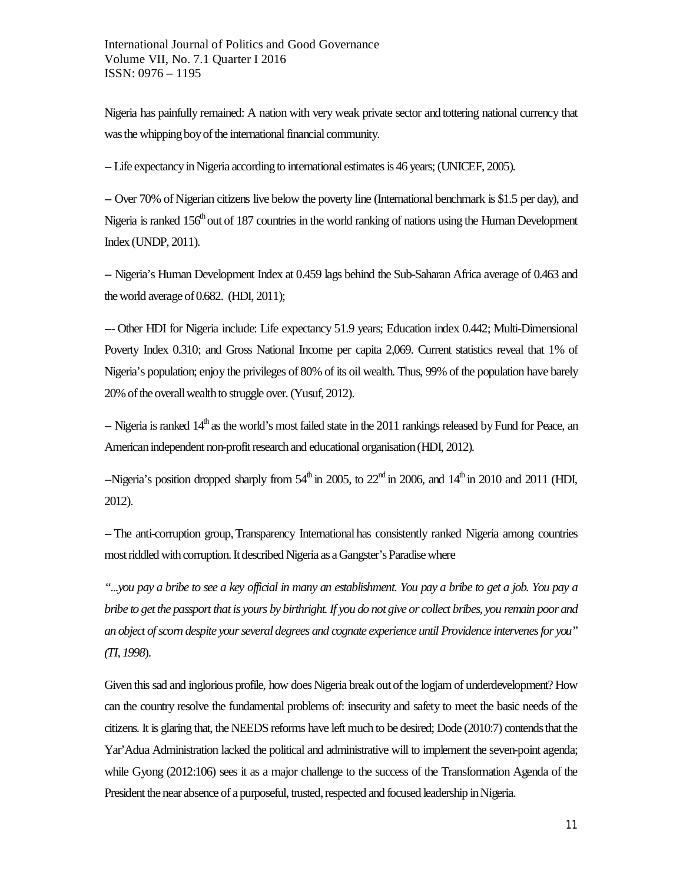Nigeria has painfully remained: A nation with very weak private sector and tottering national currency that was the whipping boy of the international financial community.

-- Life expectancy in Nigeria according to international estimates is 46 years; (UNICEF, 2005).

-- Over 70% of Nigerian citizens live below the poverty line (International benchmark is \$1.5 per day), and Nigeria is ranked 156<sup>th</sup> out of 187 countries in the world ranking of nations using the Human Development Index (UNDP, 2011).

-- Nigeria's Human Development Index at 0.459 lags behind the Sub-Saharan Africa average of 0.463 and the world average of 0.682. (HDI, 2011);

--- Other HDI for Nigeria include: Life expectancy 51.9 years; Education index 0.442; Multi-Dimensional Poverty Index 0.310; and Gross National Income per capita 2,069. Current statistics reveal that 1% of Nigeria's population; enjoy the privileges of 80% of its oil wealth. Thus, 99% of the population have barely 20% of the overall wealth to struggle over. (Yusuf, 2012).

 $-$  Nigeria is ranked  $14<sup>th</sup>$  as the world's most failed state in the 2011 rankings released by Fund for Peace, an American independent non-profit research and educational organisation (HDI, 2012).

--Nigeria's position dropped sharply from  $54^{\text{th}}$  in 2005, to  $22^{\text{nd}}$  in 2006, and  $14^{\text{th}}$  in 2010 and 2011 (HDI, 2012).

-- The anti-corruption group,Transparency International has consistently ranked Nigeria among countries most riddled with corruption. It described Nigeria as aGangster's Paradisewhere

*"...you pay a bribe to see a key official in many an establishment. You pay a bribe to get a job. You pay a bribe to get the passport that is yours by birthright. If you do not give or collect bribes, you remain poor and an object of scorn despite your several degrees and cognate experience until Providence intervenes for you" (TI, 1998*).

Given this sad and inglorious profile, how does Nigeria break out of the logjam of underdevelopment? How can the country resolve the fundamental problems of: insecurity and safety to meet the basic needs of the citizens. It is glaring that, the NEEDS reforms have left much to be desired; Dode (2010:7) contendsthat the Yar'Adua Administration lacked the political and administrative will to implement the seven-point agenda; while Gyong (2012:106) sees it as a major challenge to the success of the Transformation Agenda of the President the near absence of a purposeful, trusted, respected and focused leadership in Nigeria.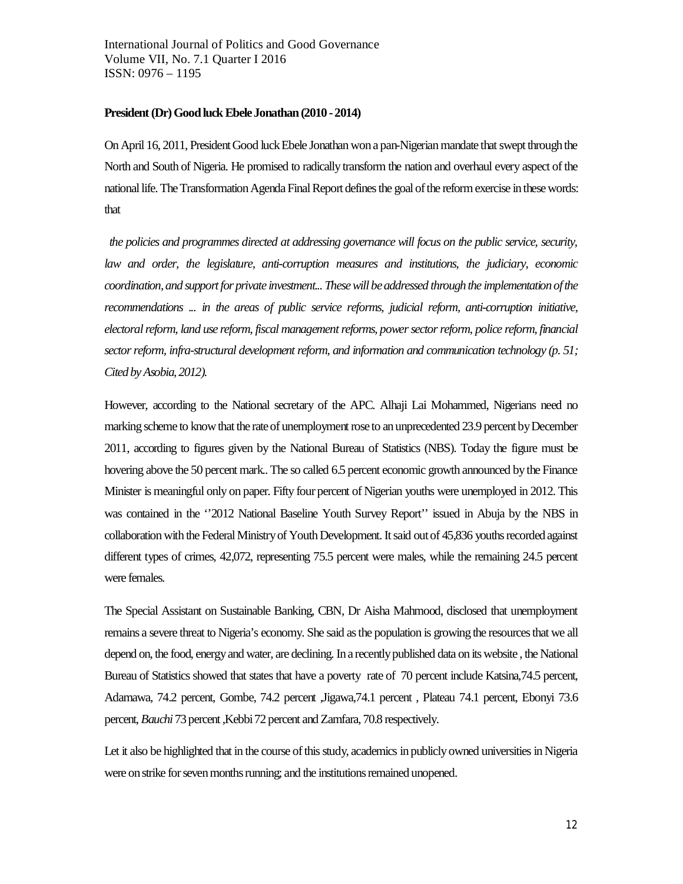#### President (Dr) Good luck Ebele Jonathan (2010 - 2014)

On April 16, 2011, President Good luck Ebele Jonathan won a pan-Nigerian mandate that swept through the North and South of Nigeria. He promised to radically transform the nation and overhaul every aspect of the national life. The Transformation Agenda Final Report defines the goal of the reform exercise in these words: that

*the policies and programmes directed at addressing governance will focus on the public service, security, law and order, the legislature, anti-corruption measures and institutions, the judiciary, economic coordination, and support for private investment... These will be addressed through the implementation of the recommendations ... in the areas of public service reforms, judicial reform, anti-corruption initiative, electoral reform, land use reform, fiscal management reforms, power sector reform, police reform, financial sector reform, infra-structural development reform, and information and communication technology (p. 51; Cited by Asobia, 2012).*

However, according to the National secretary of the APC. Alhaji Lai Mohammed, Nigerians need no marking scheme to know that the rate of unemployment rose to an unprecedented 23.9 percent by December 2011, according to figures given by the National Bureau of Statistics (NBS). Today the figure must be hovering above the 50 percent mark.. The so called 6.5 percent economic growth announced by the Finance Minister is meaningful only on paper. Fifty four percent of Nigerian youths were unemployed in 2012. This was contained in the ''2012 National Baseline Youth Survey Report'' issued in Abuja by the NBS in collaboration with the Federal Ministry of Youth Development. It said out of 45,836 youths recorded against different types of crimes, 42,072, representing 75.5 percent were males, while the remaining 24.5 percent were females.

The Special Assistant on Sustainable Banking, CBN, Dr Aisha Mahmood, disclosed that unemployment remains a severe threat to Nigeria's economy. She said as the population is growing the resources that we all depend on, the food, energy and water, are declining. In a recently published data on its website , the National Bureau of Statistics showed that states that have a poverty rate of 70 percent include Katsina,74.5 percent, Adamawa, 74.2 percent, Gombe, 74.2 percent ,Jigawa,74.1 percent , Plateau 74.1 percent, Ebonyi 73.6 percent, *Bauchi*73 percent ,Kebbi 72 percent and Zamfara, 70.8 respectively.

Let it also be highlighted that in the course of this study, academics in publicly owned universities in Nigeria were on strike for seven months running; and the institutions remained unopened.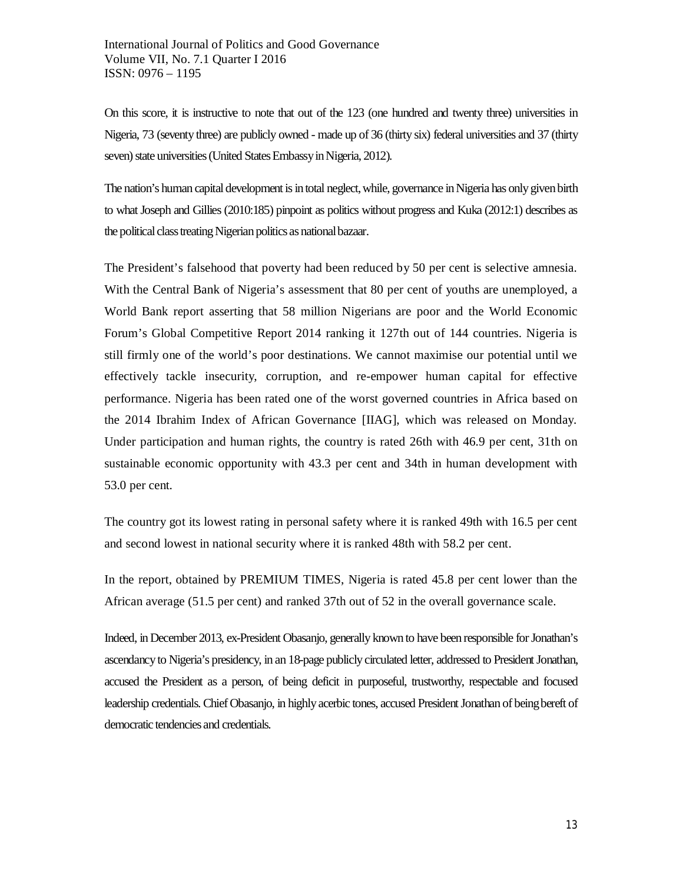On this score, it is instructive to note that out of the 123 (one hundred and twenty three) universities in Nigeria, 73 (seventy three) are publicly owned - made up of 36 (thirty six) federal universities and 37 (thirty seven) state universities (United States Embassy in Nigeria, 2012).

The nation's human capital development is in total neglect, while, governance in Nigeria has only given birth to what Joseph and Gillies (2010:185) pinpoint as politics without progress and Kuka (2012:1) describes as the political class treating Nigerian politics as national bazaar.

The President's falsehood that poverty had been reduced by 50 per cent is selective amnesia. With the Central Bank of Nigeria's assessment that 80 per cent of youths are unemployed, a World Bank report asserting that 58 million Nigerians are poor and the World Economic Forum's Global Competitive Report 2014 ranking it 127th out of 144 countries. Nigeria is still firmly one of the world's poor destinations. We cannot maximise our potential until we effectively tackle insecurity, corruption, and re-empower human capital for effective performance. Nigeria has been rated one of the worst governed countries in Africa based on the 2014 Ibrahim Index of African Governance [IIAG], which was released on Monday. Under participation and human rights, the country is rated 26th with 46.9 per cent, 31th on sustainable economic opportunity with 43.3 per cent and 34th in human development with 53.0 per cent.

The country got its lowest rating in personal safety where it is ranked 49th with 16.5 per cent and second lowest in national security where it is ranked 48th with 58.2 per cent.

In the report, obtained by PREMIUM TIMES, Nigeria is rated 45.8 per cent lower than the African average (51.5 per cent) and ranked 37th out of 52 in the overall governance scale.

Indeed, in December 2013, ex-President Obasanjo, generally known to have been responsible for Jonathan's ascendancy to Nigeria's presidency, in an 18-page publicly circulated letter, addressed to President Jonathan, accused the President as a person, of being deficit in purposeful, trustworthy, respectable and focused leadership credentials. Chief Obasanjo, in highly acerbic tones, accused President Jonathan of being bereft of democratic tendencies and credentials.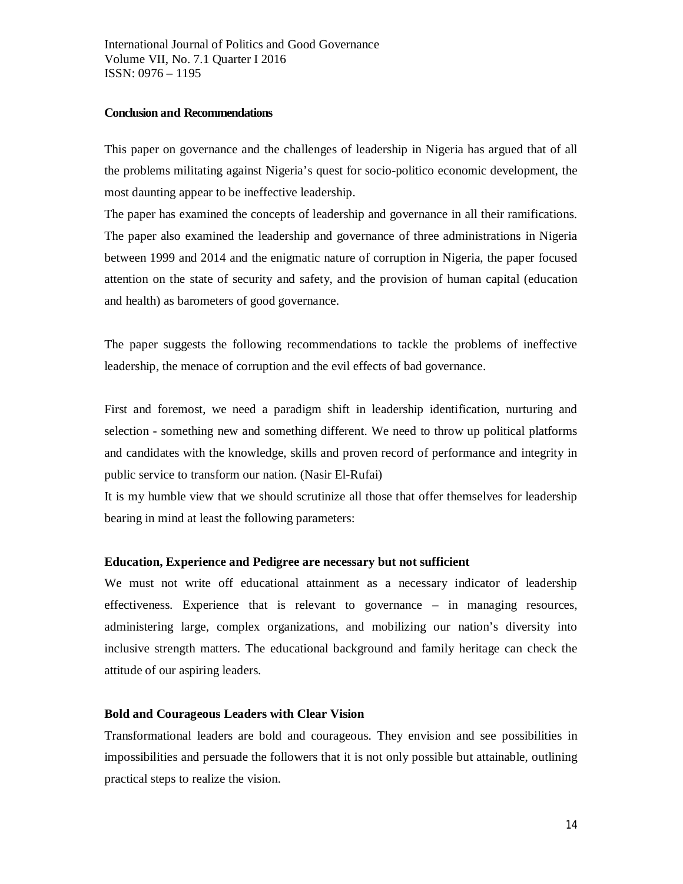### **Conclusion and Recommendations**

This paper on governance and the challenges of leadership in Nigeria has argued that of all the problems militating against Nigeria's quest for socio-politico economic development, the most daunting appear to be ineffective leadership.

The paper has examined the concepts of leadership and governance in all their ramifications. The paper also examined the leadership and governance of three administrations in Nigeria between 1999 and 2014 and the enigmatic nature of corruption in Nigeria, the paper focused attention on the state of security and safety, and the provision of human capital (education and health) as barometers of good governance.

The paper suggests the following recommendations to tackle the problems of ineffective leadership, the menace of corruption and the evil effects of bad governance.

First and foremost, we need a paradigm shift in leadership identification, nurturing and selection - something new and something different. We need to throw up political platforms and candidates with the knowledge, skills and proven record of performance and integrity in public service to transform our nation. (Nasir El-Rufai)

It is my humble view that we should scrutinize all those that offer themselves for leadership bearing in mind at least the following parameters:

## **Education, Experience and Pedigree are necessary but not sufficient**

We must not write off educational attainment as a necessary indicator of leadership effectiveness. Experience that is relevant to governance – in managing resources, administering large, complex organizations, and mobilizing our nation's diversity into inclusive strength matters. The educational background and family heritage can check the attitude of our aspiring leaders.

## **Bold and Courageous Leaders with Clear Vision**

Transformational leaders are bold and courageous. They envision and see possibilities in impossibilities and persuade the followers that it is not only possible but attainable, outlining practical steps to realize the vision.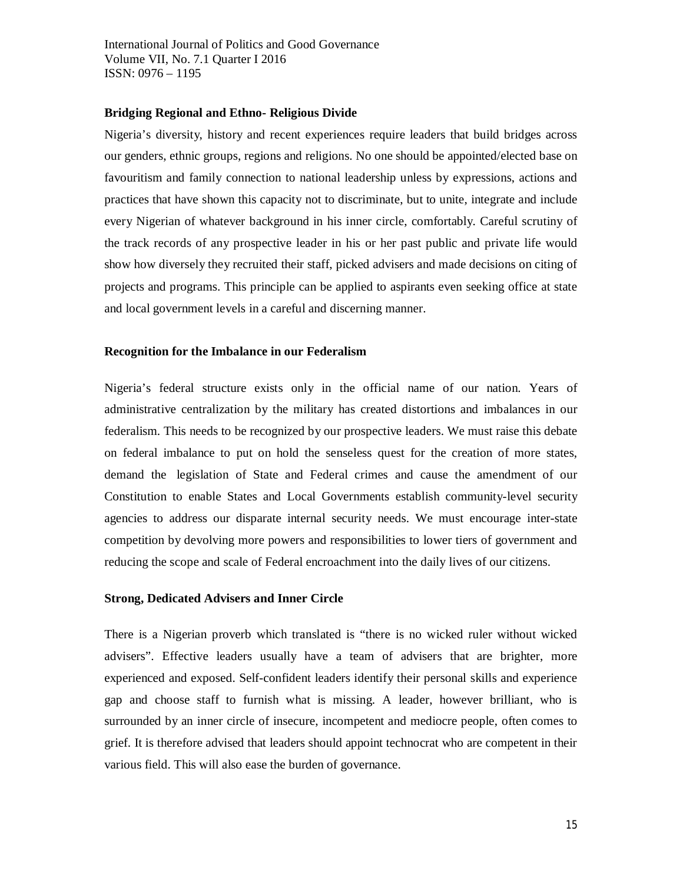#### **Bridging Regional and Ethno- Religious Divide**

Nigeria's diversity, history and recent experiences require leaders that build bridges across our genders, ethnic groups, regions and religions. No one should be appointed/elected base on favouritism and family connection to national leadership unless by expressions, actions and practices that have shown this capacity not to discriminate, but to unite, integrate and include every Nigerian of whatever background in his inner circle, comfortably. Careful scrutiny of the track records of any prospective leader in his or her past public and private life would show how diversely they recruited their staff, picked advisers and made decisions on citing of projects and programs. This principle can be applied to aspirants even seeking office at state and local government levels in a careful and discerning manner.

### **Recognition for the Imbalance in our Federalism**

Nigeria's federal structure exists only in the official name of our nation. Years of administrative centralization by the military has created distortions and imbalances in our federalism. This needs to be recognized by our prospective leaders. We must raise this debate on federal imbalance to put on hold the senseless quest for the creation of more states, demand the legislation of State and Federal crimes and cause the amendment of our Constitution to enable States and Local Governments establish community-level security agencies to address our disparate internal security needs. We must encourage inter-state competition by devolving more powers and responsibilities to lower tiers of government and reducing the scope and scale of Federal encroachment into the daily lives of our citizens.

#### **Strong, Dedicated Advisers and Inner Circle**

There is a Nigerian proverb which translated is "there is no wicked ruler without wicked advisers". Effective leaders usually have a team of advisers that are brighter, more experienced and exposed. Self-confident leaders identify their personal skills and experience gap and choose staff to furnish what is missing. A leader, however brilliant, who is surrounded by an inner circle of insecure, incompetent and mediocre people, often comes to grief. It is therefore advised that leaders should appoint technocrat who are competent in their various field. This will also ease the burden of governance.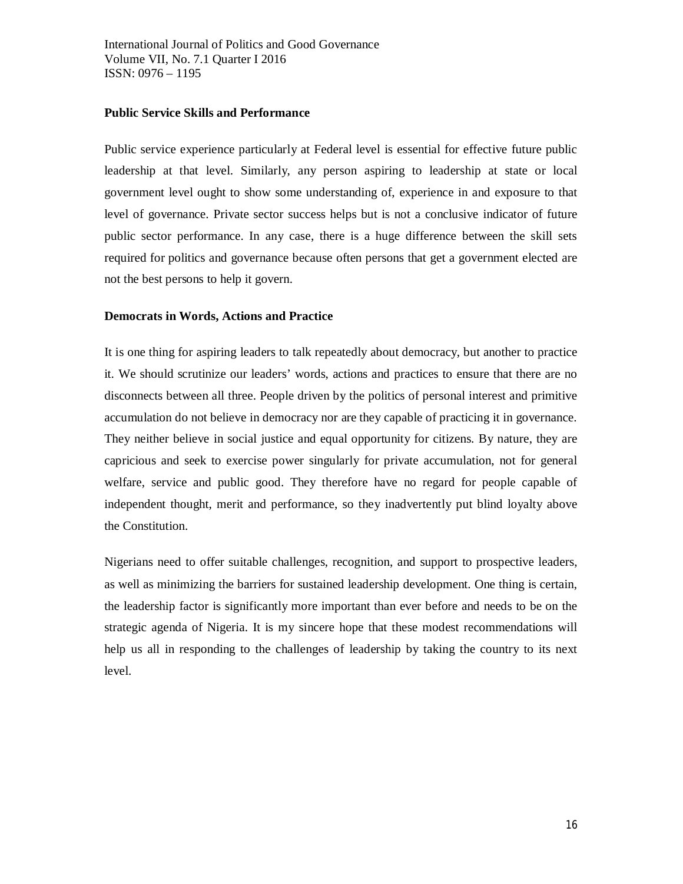## **Public Service Skills and Performance**

Public service experience particularly at Federal level is essential for effective future public leadership at that level. Similarly, any person aspiring to leadership at state or local government level ought to show some understanding of, experience in and exposure to that level of governance. Private sector success helps but is not a conclusive indicator of future public sector performance. In any case, there is a huge difference between the skill sets required for politics and governance because often persons that get a government elected are not the best persons to help it govern.

## **Democrats in Words, Actions and Practice**

It is one thing for aspiring leaders to talk repeatedly about democracy, but another to practice it. We should scrutinize our leaders' words, actions and practices to ensure that there are no disconnects between all three. People driven by the politics of personal interest and primitive accumulation do not believe in democracy nor are they capable of practicing it in governance. They neither believe in social justice and equal opportunity for citizens. By nature, they are capricious and seek to exercise power singularly for private accumulation, not for general welfare, service and public good. They therefore have no regard for people capable of independent thought, merit and performance, so they inadvertently put blind loyalty above the Constitution.

Nigerians need to offer suitable challenges, recognition, and support to prospective leaders, as well as minimizing the barriers for sustained leadership development. One thing is certain, the leadership factor is significantly more important than ever before and needs to be on the strategic agenda of Nigeria. It is my sincere hope that these modest recommendations will help us all in responding to the challenges of leadership by taking the country to its next level.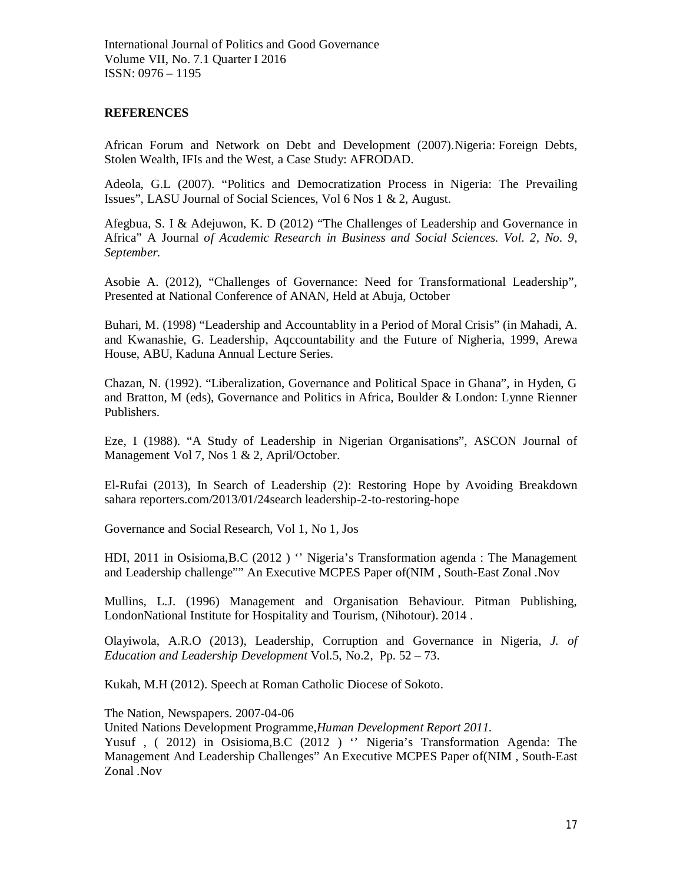# **REFERENCES**

African Forum and Network on Debt and Development (2007).Nigeria: Foreign Debts, Stolen Wealth, IFIs and the West, a Case Study: AFRODAD.

Adeola, G.L (2007). "Politics and Democratization Process in Nigeria: The Prevailing Issues", LASU Journal of Social Sciences, Vol 6 Nos 1 & 2, August.

Afegbua, S. I & Adejuwon, K. D (2012) "The Challenges of Leadership and Governance in Africa" A Journal *of Academic Research in Business and Social Sciences. Vol. 2, No. 9, September.*

Asobie A. (2012), "Challenges of Governance: Need for Transformational Leadership", Presented at National Conference of ANAN, Held at Abuja, October

Buhari, M. (1998) "Leadership and Accountablity in a Period of Moral Crisis" (in Mahadi, A. and Kwanashie, G. Leadership, Aqccountability and the Future of Nigheria, 1999, Arewa House, ABU, Kaduna Annual Lecture Series.

Chazan, N. (1992). "Liberalization, Governance and Political Space in Ghana", in Hyden, G and Bratton, M (eds), Governance and Politics in Africa, Boulder & London: Lynne Rienner Publishers.

Eze, I (1988). "A Study of Leadership in Nigerian Organisations", ASCON Journal of Management Vol 7, Nos 1 & 2, April/October.

El-Rufai (2013), In Search of Leadership (2): Restoring Hope by Avoiding Breakdown sahara reporters.com/2013/01/24search leadership-2-to-restoring-hope

Governance and Social Research, Vol 1, No 1, Jos

HDI, 2011 in Osisioma,B.C (2012 ) '' Nigeria's Transformation agenda : The Management and Leadership challenge"" An Executive MCPES Paper of(NIM , South-East Zonal .Nov

Mullins, L.J. (1996) Management and Organisation Behaviour. Pitman Publishing, LondonNational Institute for Hospitality and Tourism, (Nihotour). 2014 .

Olayiwola, A.R.O (2013), Leadership, Corruption and Governance in Nigeria, *J. of Education and Leadership Development* Vol.5, No.2, Pp. 52 – 73.

Kukah, M.H (2012). Speech at Roman Catholic Diocese of Sokoto.

The Nation, Newspapers. 2007-04-06

United Nations Development Programme,*Human Development Report 2011.*

Yusuf , ( 2012) in Osisioma,B.C (2012 ) '' Nigeria's Transformation Agenda: The Management And Leadership Challenges" An Executive MCPES Paper of(NIM , South-East Zonal .Nov